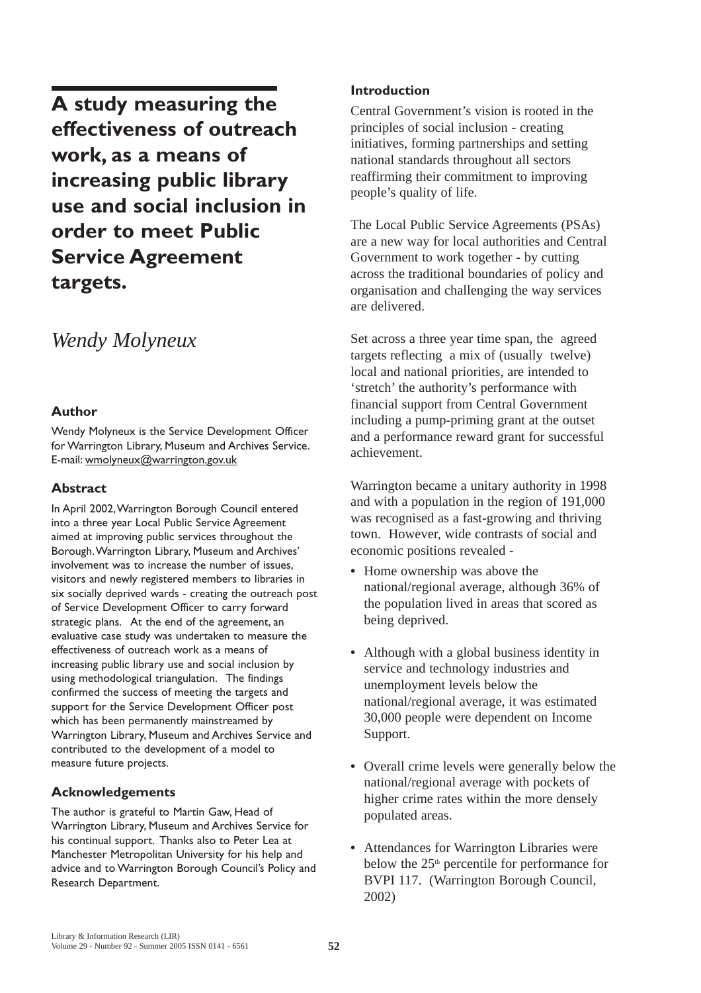**A study measuring the effectiveness of outreach work, as a means of increasing public library use and social inclusion in order to meet Public Service Agreement targets.**

# *Wendy Molyneux*

#### **Author**

Wendy Molyneux is the Service Development Officer for Warrington Library, Museum and Archives Service. E-mail: wmolyneux@warrington.gov.uk

#### **Abstract**

In April 2002,Warrington Borough Council entered into a three year Local Public Service Agreement aimed at improving public services throughout the Borough.Warrington Library, Museum and Archives' involvement was to increase the number of issues, visitors and newly registered members to libraries in six socially deprived wards - creating the outreach post of Service Development Officer to carry forward strategic plans. At the end of the agreement, an evaluative case study was undertaken to measure the effectiveness of outreach work as a means of increasing public library use and social inclusion by using methodological triangulation. The findings confirmed the success of meeting the targets and support for the Service Development Officer post which has been permanently mainstreamed by Warrington Library, Museum and Archives Service and contributed to the development of a model to measure future projects.

#### **Acknowledgements**

The author is grateful to Martin Gaw, Head of Warrington Library, Museum and Archives Service for his continual support. Thanks also to Peter Lea at Manchester Metropolitan University for his help and advice and to Warrington Borough Council's Policy and Research Department.

#### **Introduction**

Central Government's vision is rooted in the principles of social inclusion - creating initiatives, forming partnerships and setting national standards throughout all sectors reaffirming their commitment to improving people's quality of life.

The Local Public Service Agreements (PSAs) are a new way for local authorities and Central Government to work together - by cutting across the traditional boundaries of policy and organisation and challenging the way services are delivered.

Set across a three year time span, the agreed targets reflecting a mix of (usually twelve) local and national priorities, are intended to 'stretch' the authority's performance with financial support from Central Government including a pump-priming grant at the outset and a performance reward grant for successful achievement.

Warrington became a unitary authority in 1998 and with a population in the region of 191,000 was recognised as a fast-growing and thriving town. However, wide contrasts of social and economic positions revealed -

- **•** Home ownership was above the national/regional average, although 36% of the population lived in areas that scored as being deprived.
- **•** Although with a global business identity in service and technology industries and unemployment levels below the national/regional average, it was estimated 30,000 people were dependent on Income Support.
- **•** Overall crime levels were generally below the national/regional average with pockets of higher crime rates within the more densely populated areas.
- **•** Attendances for Warrington Libraries were below the 25<sup>th</sup> percentile for performance for BVPI 117. (Warrington Borough Council, 2002)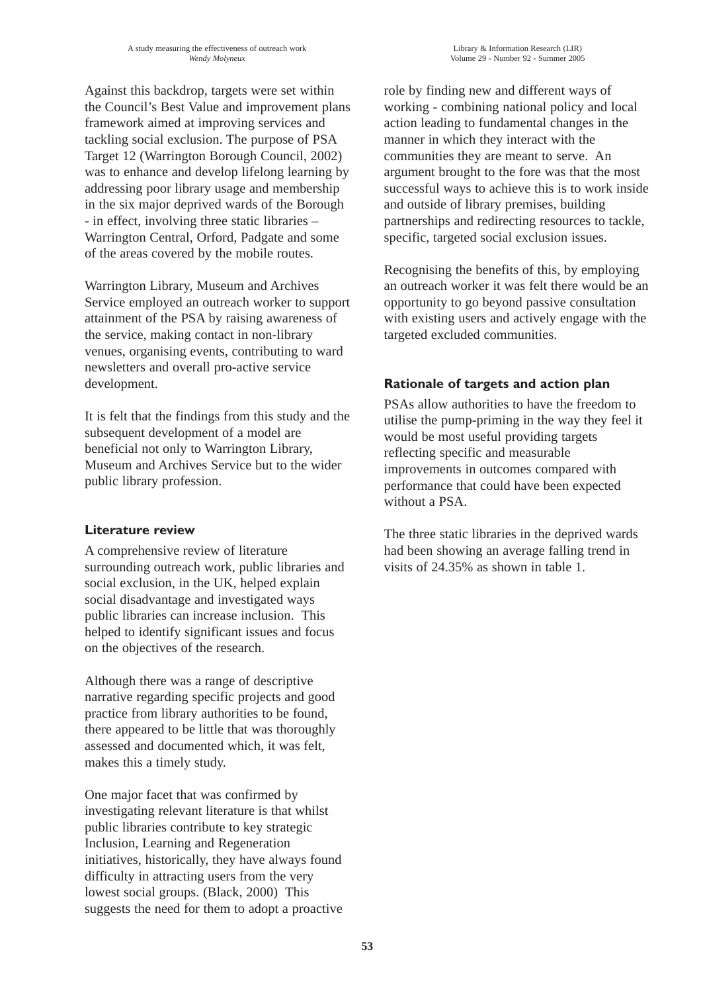Against this backdrop, targets were set within the Council's Best Value and improvement plans framework aimed at improving services and tackling social exclusion. The purpose of PSA Target 12 (Warrington Borough Council, 2002) was to enhance and develop lifelong learning by addressing poor library usage and membership in the six major deprived wards of the Borough - in effect, involving three static libraries – Warrington Central, Orford, Padgate and some of the areas covered by the mobile routes.

Warrington Library, Museum and Archives Service employed an outreach worker to support attainment of the PSA by raising awareness of the service, making contact in non-library venues, organising events, contributing to ward newsletters and overall pro-active service development.

It is felt that the findings from this study and the subsequent development of a model are beneficial not only to Warrington Library, Museum and Archives Service but to the wider public library profession.

#### **Literature review**

A comprehensive review of literature surrounding outreach work, public libraries and social exclusion, in the UK, helped explain social disadvantage and investigated ways public libraries can increase inclusion. This helped to identify significant issues and focus on the objectives of the research.

Although there was a range of descriptive narrative regarding specific projects and good practice from library authorities to be found, there appeared to be little that was thoroughly assessed and documented which, it was felt, makes this a timely study.

One major facet that was confirmed by investigating relevant literature is that whilst public libraries contribute to key strategic Inclusion, Learning and Regeneration initiatives, historically, they have always found difficulty in attracting users from the very lowest social groups. (Black, 2000) This suggests the need for them to adopt a proactive role by finding new and different ways of working - combining national policy and local action leading to fundamental changes in the manner in which they interact with the communities they are meant to serve. An argument brought to the fore was that the most successful ways to achieve this is to work inside and outside of library premises, building partnerships and redirecting resources to tackle, specific, targeted social exclusion issues.

Recognising the benefits of this, by employing an outreach worker it was felt there would be an opportunity to go beyond passive consultation with existing users and actively engage with the targeted excluded communities.

#### **Rationale of targets and action plan**

PSAs allow authorities to have the freedom to utilise the pump-priming in the way they feel it would be most useful providing targets reflecting specific and measurable improvements in outcomes compared with performance that could have been expected without a PSA.

The three static libraries in the deprived wards had been showing an average falling trend in visits of 24.35% as shown in table 1.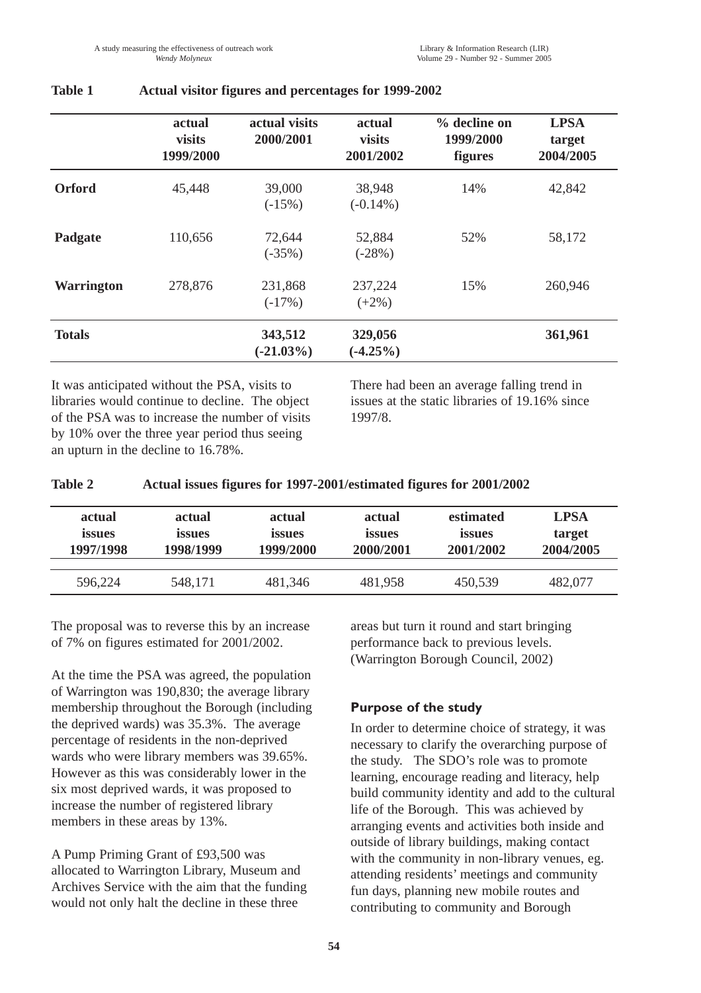|                   | actual<br><b>visits</b><br>1999/2000 | actual visits<br>2000/2001 | actual<br><b>visits</b><br>2001/2002 | % decline on<br>1999/2000<br><b>figures</b> | <b>LPSA</b><br>target<br>2004/2005 |
|-------------------|--------------------------------------|----------------------------|--------------------------------------|---------------------------------------------|------------------------------------|
| <b>Orford</b>     | 45,448                               | 39,000<br>$(-15%)$         | 38,948<br>$(-0.14\%)$                | 14%                                         | 42,842                             |
| Padgate           | 110,656                              | 72,644<br>$(-35%)$         | 52,884<br>$(-28%)$                   | 52%                                         | 58,172                             |
| <b>Warrington</b> | 278,876                              | 231,868<br>$(-17%)$        | 237,224<br>$(+2%)$                   | 15%                                         | 260,946                            |
| <b>Totals</b>     |                                      | 343,512<br>$(-21.03\%)$    | 329,056<br>$(-4.25\%)$               |                                             | 361,961                            |

#### **Table 1 Actual visitor figures and percentages for 1999-2002**

It was anticipated without the PSA, visits to libraries would continue to decline. The object of the PSA was to increase the number of visits by 10% over the three year period thus seeing an upturn in the decline to 16.78%.

There had been an average falling trend in issues at the static libraries of 19.16% since 1997/8.

| <b>Table 2</b> |  | Actual issues figures for 1997-2001/estimated figures for 2001/2002 |  |
|----------------|--|---------------------------------------------------------------------|--|
|                |  |                                                                     |  |

| actual        | actual    | actual        | actual        | estimated | <b>LPSA</b> |
|---------------|-----------|---------------|---------------|-----------|-------------|
| <i>issues</i> | issues    | <i>issues</i> | <i>issues</i> | issues    | target      |
| 1997/1998     | 1998/1999 | 1999/2000     | 2000/2001     | 2001/2002 | 2004/2005   |
| 596,224       | 548,171   | 481,346       | 481,958       | 450,539   | 482,077     |

The proposal was to reverse this by an increase of 7% on figures estimated for 2001/2002.

At the time the PSA was agreed, the population of Warrington was 190,830; the average library membership throughout the Borough (including the deprived wards) was 35.3%. The average percentage of residents in the non-deprived wards who were library members was 39.65%. However as this was considerably lower in the six most deprived wards, it was proposed to increase the number of registered library members in these areas by 13%.

A Pump Priming Grant of £93,500 was allocated to Warrington Library, Museum and Archives Service with the aim that the funding would not only halt the decline in these three

areas but turn it round and start bringing performance back to previous levels. (Warrington Borough Council, 2002)

#### **Purpose of the study**

In order to determine choice of strategy, it was necessary to clarify the overarching purpose of the study. The SDO's role was to promote learning, encourage reading and literacy, help build community identity and add to the cultural life of the Borough. This was achieved by arranging events and activities both inside and outside of library buildings, making contact with the community in non-library venues, eg. attending residents' meetings and community fun days, planning new mobile routes and contributing to community and Borough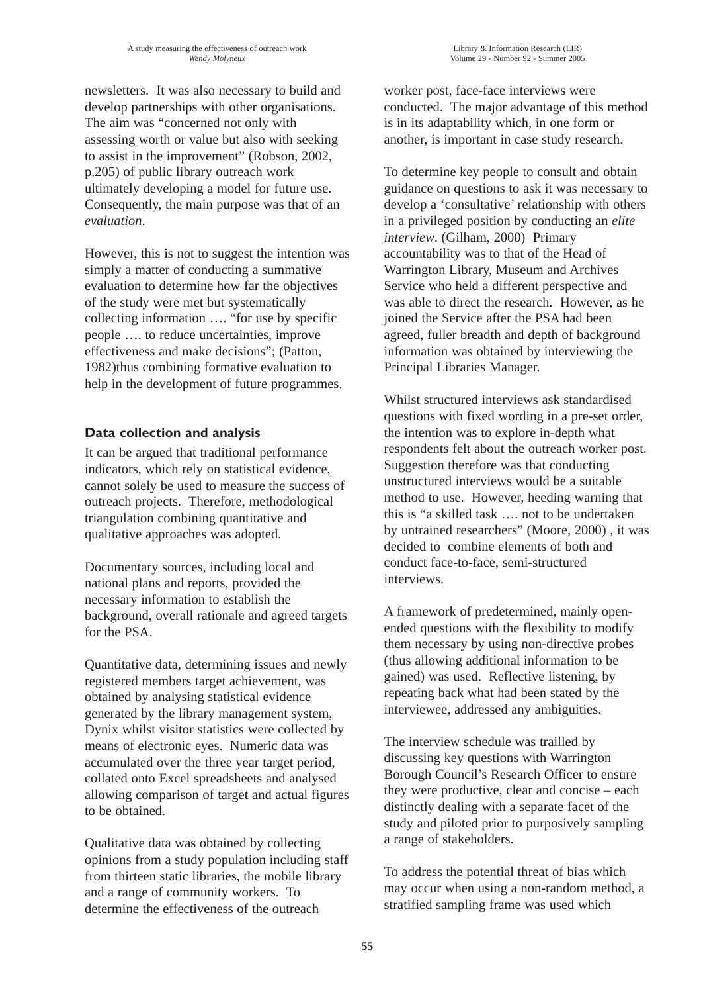newsletters. It was also necessary to build and develop partnerships with other organisations. The aim was "concerned not only with assessing worth or value but also with seeking to assist in the improvement" (Robson, 2002, p.205) of public library outreach work ultimately developing a model for future use. Consequently, the main purpose was that of an *evaluation*.

However, this is not to suggest the intention was simply a matter of conducting a summative evaluation to determine how far the objectives of the study were met but systematically collecting information …. "for use by specific people …. to reduce uncertainties, improve effectiveness and make decisions"; (Patton, 1982)thus combining formative evaluation to help in the development of future programmes.

#### **Data collection and analysis**

It can be argued that traditional performance indicators, which rely on statistical evidence, cannot solely be used to measure the success of outreach projects. Therefore, methodological triangulation combining quantitative and qualitative approaches was adopted.

Documentary sources, including local and national plans and reports, provided the necessary information to establish the background, overall rationale and agreed targets for the PSA.

Quantitative data, determining issues and newly registered members target achievement, was obtained by analysing statistical evidence generated by the library management system, Dynix whilst visitor statistics were collected by means of electronic eyes. Numeric data was accumulated over the three year target period, collated onto Excel spreadsheets and analysed allowing comparison of target and actual figures to be obtained.

Qualitative data was obtained by collecting opinions from a study population including staff from thirteen static libraries, the mobile library and a range of community workers. To determine the effectiveness of the outreach

worker post, face-face interviews were conducted. The major advantage of this method is in its adaptability which, in one form or another, is important in case study research.

To determine key people to consult and obtain guidance on questions to ask it was necessary to develop a 'consultative' relationship with others in a privileged position by conducting an *elite interview*. (Gilham, 2000) Primary accountability was to that of the Head of Warrington Library, Museum and Archives Service who held a different perspective and was able to direct the research. However, as he joined the Service after the PSA had been agreed, fuller breadth and depth of background information was obtained by interviewing the Principal Libraries Manager.

Whilst structured interviews ask standardised questions with fixed wording in a pre-set order, the intention was to explore in-depth what respondents felt about the outreach worker post. Suggestion therefore was that conducting unstructured interviews would be a suitable method to use. However, heeding warning that this is "a skilled task …. not to be undertaken by untrained researchers" (Moore, 2000) , it was decided to combine elements of both and conduct face-to-face, semi-structured interviews.

A framework of predetermined, mainly openended questions with the flexibility to modify them necessary by using non-directive probes (thus allowing additional information to be gained) was used. Reflective listening, by repeating back what had been stated by the interviewee, addressed any ambiguities.

The interview schedule was trailled by discussing key questions with Warrington Borough Council's Research Officer to ensure they were productive, clear and concise – each distinctly dealing with a separate facet of the study and piloted prior to purposively sampling a range of stakeholders.

To address the potential threat of bias which may occur when using a non-random method, a stratified sampling frame was used which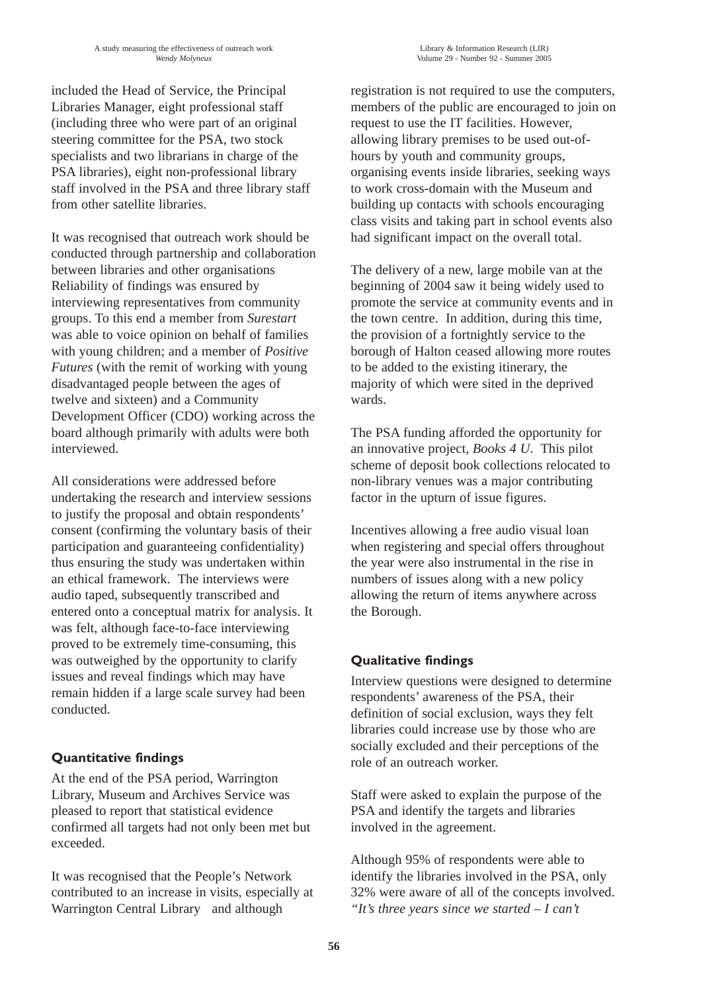included the Head of Service, the Principal Libraries Manager, eight professional staff (including three who were part of an original steering committee for the PSA, two stock specialists and two librarians in charge of the PSA libraries), eight non-professional library staff involved in the PSA and three library staff from other satellite libraries.

It was recognised that outreach work should be conducted through partnership and collaboration between libraries and other organisations Reliability of findings was ensured by interviewing representatives from community groups. To this end a member from *Surestart* was able to voice opinion on behalf of families with young children; and a member of *Positive Futures* (with the remit of working with young disadvantaged people between the ages of twelve and sixteen) and a Community Development Officer (CDO) working across the board although primarily with adults were both interviewed.

All considerations were addressed before undertaking the research and interview sessions to justify the proposal and obtain respondents' consent (confirming the voluntary basis of their participation and guaranteeing confidentiality) thus ensuring the study was undertaken within an ethical framework. The interviews were audio taped, subsequently transcribed and entered onto a conceptual matrix for analysis. It was felt, although face-to-face interviewing proved to be extremely time-consuming, this was outweighed by the opportunity to clarify issues and reveal findings which may have remain hidden if a large scale survey had been conducted.

### **Quantitative findings**

At the end of the PSA period, Warrington Library, Museum and Archives Service was pleased to report that statistical evidence confirmed all targets had not only been met but exceeded.

It was recognised that the People's Network contributed to an increase in visits, especially at Warrington Central Library and although

registration is not required to use the computers, members of the public are encouraged to join on request to use the IT facilities. However, allowing library premises to be used out-ofhours by youth and community groups, organising events inside libraries, seeking ways to work cross-domain with the Museum and building up contacts with schools encouraging class visits and taking part in school events also had significant impact on the overall total.

The delivery of a new, large mobile van at the beginning of 2004 saw it being widely used to promote the service at community events and in the town centre. In addition, during this time, the provision of a fortnightly service to the borough of Halton ceased allowing more routes to be added to the existing itinerary, the majority of which were sited in the deprived wards.

The PSA funding afforded the opportunity for an innovative project, *Books 4 U*. This pilot scheme of deposit book collections relocated to non-library venues was a major contributing factor in the upturn of issue figures.

Incentives allowing a free audio visual loan when registering and special offers throughout the year were also instrumental in the rise in numbers of issues along with a new policy allowing the return of items anywhere across the Borough.

### **Qualitative findings**

Interview questions were designed to determine respondents' awareness of the PSA, their definition of social exclusion, ways they felt libraries could increase use by those who are socially excluded and their perceptions of the role of an outreach worker.

Staff were asked to explain the purpose of the PSA and identify the targets and libraries involved in the agreement.

Although 95% of respondents were able to identify the libraries involved in the PSA, only 32% were aware of all of the concepts involved. *"It's three years since we started – I can't*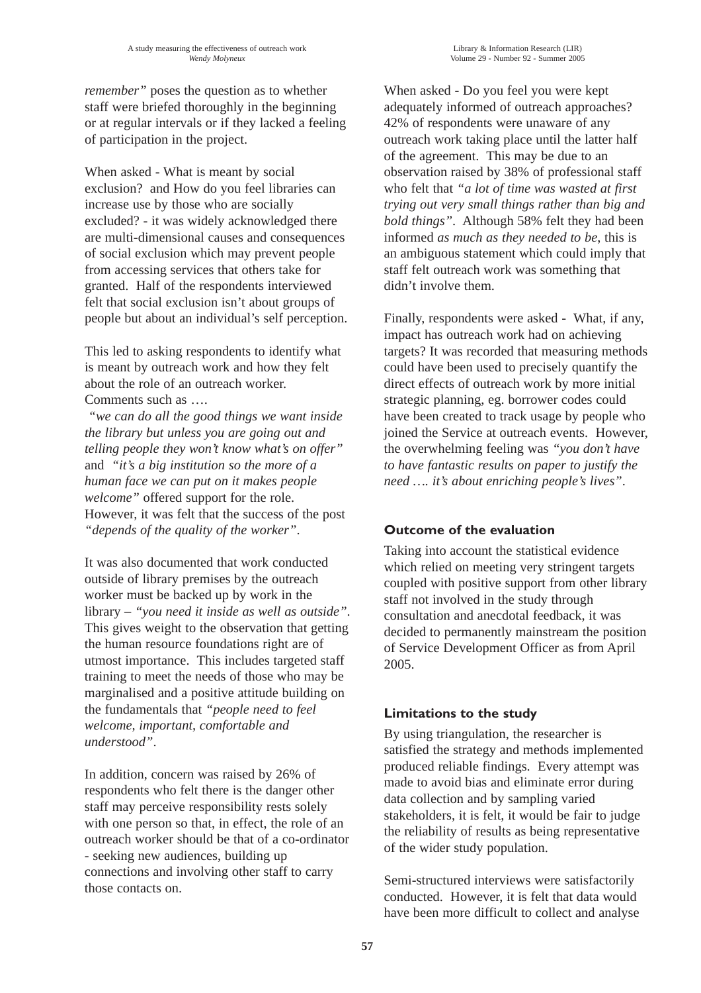*remember"* poses the question as to whether staff were briefed thoroughly in the beginning or at regular intervals or if they lacked a feeling of participation in the project.

When asked - What is meant by social exclusion? and How do you feel libraries can increase use by those who are socially excluded? - it was widely acknowledged there are multi-dimensional causes and consequences of social exclusion which may prevent people from accessing services that others take for granted. Half of the respondents interviewed felt that social exclusion isn't about groups of people but about an individual's self perception.

This led to asking respondents to identify what is meant by outreach work and how they felt about the role of an outreach worker. Comments such as ….

*"we can do all the good things we want inside the library but unless you are going out and telling people they won't know what's on offer"* and *"it's a big institution so the more of a human face we can put on it makes people welcome"* offered support for the role. However, it was felt that the success of the post *"depends of the quality of the worker"*.

It was also documented that work conducted outside of library premises by the outreach worker must be backed up by work in the library – *"you need it inside as well as outside"*. This gives weight to the observation that getting the human resource foundations right are of utmost importance. This includes targeted staff training to meet the needs of those who may be marginalised and a positive attitude building on the fundamentals that *"people need to feel welcome, important, comfortable and understood"*.

In addition, concern was raised by 26% of respondents who felt there is the danger other staff may perceive responsibility rests solely with one person so that, in effect, the role of an outreach worker should be that of a co-ordinator - seeking new audiences, building up connections and involving other staff to carry those contacts on.

When asked - Do you feel you were kept adequately informed of outreach approaches? 42% of respondents were unaware of any outreach work taking place until the latter half of the agreement. This may be due to an observation raised by 38% of professional staff who felt that *"a lot of time was wasted at first trying out very small things rather than big and bold things"*. Although 58% felt they had been informed *as much as they needed to be*, this is an ambiguous statement which could imply that staff felt outreach work was something that didn't involve them.

Finally, respondents were asked - What, if any, impact has outreach work had on achieving targets? It was recorded that measuring methods could have been used to precisely quantify the direct effects of outreach work by more initial strategic planning, eg. borrower codes could have been created to track usage by people who joined the Service at outreach events. However, the overwhelming feeling was *"you don't have to have fantastic results on paper to justify the need …. it's about enriching people's lives"*.

### **Outcome of the evaluation**

Taking into account the statistical evidence which relied on meeting very stringent targets coupled with positive support from other library staff not involved in the study through consultation and anecdotal feedback, it was decided to permanently mainstream the position of Service Development Officer as from April 2005.

### **Limitations to the study**

By using triangulation, the researcher is satisfied the strategy and methods implemented produced reliable findings. Every attempt was made to avoid bias and eliminate error during data collection and by sampling varied stakeholders, it is felt, it would be fair to judge the reliability of results as being representative of the wider study population.

Semi-structured interviews were satisfactorily conducted. However, it is felt that data would have been more difficult to collect and analyse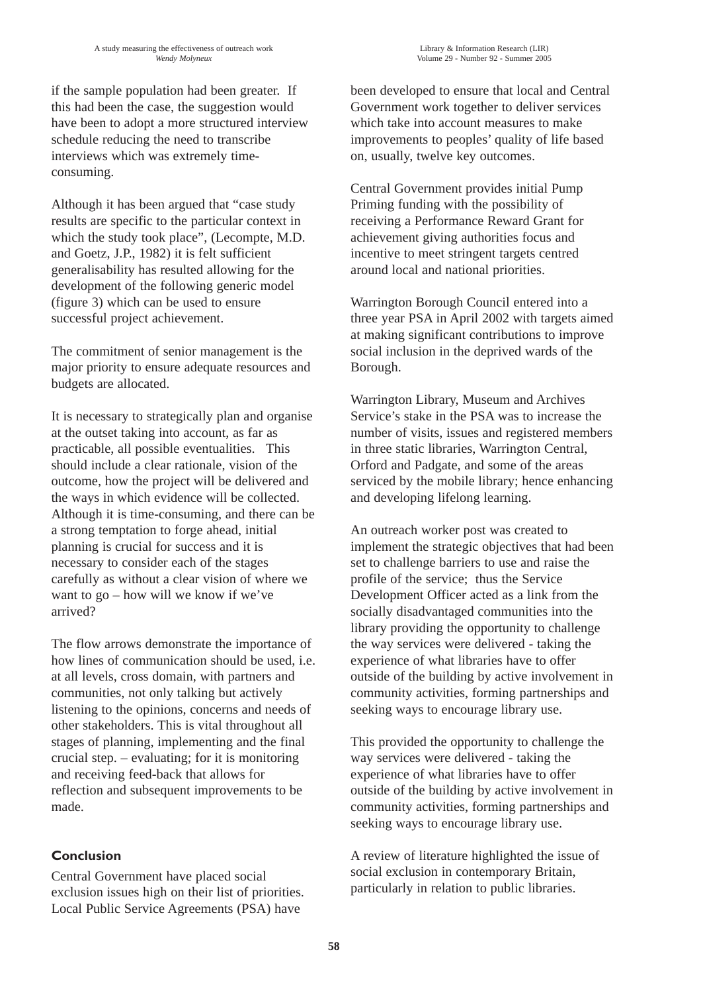if the sample population had been greater. If this had been the case, the suggestion would have been to adopt a more structured interview schedule reducing the need to transcribe interviews which was extremely timeconsuming.

Although it has been argued that "case study results are specific to the particular context in which the study took place", (Lecompte, M.D. and Goetz, J.P., 1982) it is felt sufficient generalisability has resulted allowing for the development of the following generic model (figure 3) which can be used to ensure successful project achievement.

The commitment of senior management is the major priority to ensure adequate resources and budgets are allocated.

It is necessary to strategically plan and organise at the outset taking into account, as far as practicable, all possible eventualities. This should include a clear rationale, vision of the outcome, how the project will be delivered and the ways in which evidence will be collected. Although it is time-consuming, and there can be a strong temptation to forge ahead, initial planning is crucial for success and it is necessary to consider each of the stages carefully as without a clear vision of where we want to go – how will we know if we've arrived?

The flow arrows demonstrate the importance of how lines of communication should be used, i.e. at all levels, cross domain, with partners and communities, not only talking but actively listening to the opinions, concerns and needs of other stakeholders. This is vital throughout all stages of planning, implementing and the final crucial step. – evaluating; for it is monitoring and receiving feed-back that allows for reflection and subsequent improvements to be made.

### **Conclusion**

Central Government have placed social exclusion issues high on their list of priorities. Local Public Service Agreements (PSA) have

been developed to ensure that local and Central Government work together to deliver services which take into account measures to make improvements to peoples' quality of life based on, usually, twelve key outcomes.

Central Government provides initial Pump Priming funding with the possibility of receiving a Performance Reward Grant for achievement giving authorities focus and incentive to meet stringent targets centred around local and national priorities.

Warrington Borough Council entered into a three year PSA in April 2002 with targets aimed at making significant contributions to improve social inclusion in the deprived wards of the Borough.

Warrington Library, Museum and Archives Service's stake in the PSA was to increase the number of visits, issues and registered members in three static libraries, Warrington Central, Orford and Padgate, and some of the areas serviced by the mobile library; hence enhancing and developing lifelong learning.

An outreach worker post was created to implement the strategic objectives that had been set to challenge barriers to use and raise the profile of the service; thus the Service Development Officer acted as a link from the socially disadvantaged communities into the library providing the opportunity to challenge the way services were delivered - taking the experience of what libraries have to offer outside of the building by active involvement in community activities, forming partnerships and seeking ways to encourage library use.

This provided the opportunity to challenge the way services were delivered - taking the experience of what libraries have to offer outside of the building by active involvement in community activities, forming partnerships and seeking ways to encourage library use.

A review of literature highlighted the issue of social exclusion in contemporary Britain, particularly in relation to public libraries.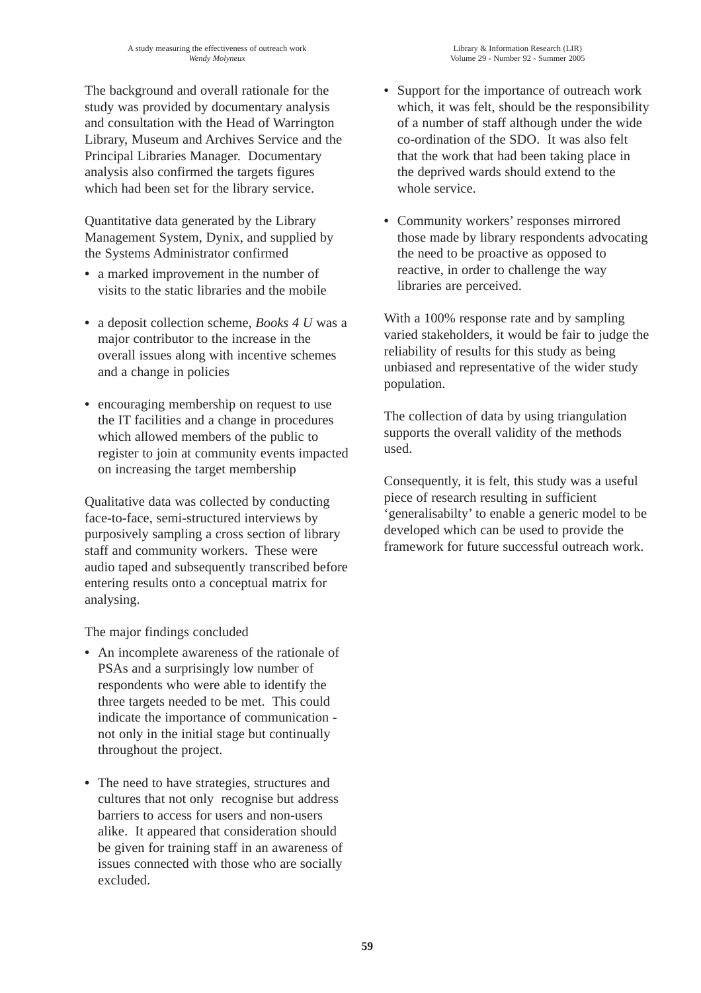The background and overall rationale for the study was provided by documentary analysis and consultation with the Head of Warrington Library, Museum and Archives Service and the Principal Libraries Manager. Documentary analysis also confirmed the targets figures which had been set for the library service.

Quantitative data generated by the Library Management System, Dynix, and supplied by the Systems Administrator confirmed

- **•** a marked improvement in the number of visits to the static libraries and the mobile
- **•** a deposit collection scheme, *Books 4 U* was a major contributor to the increase in the overall issues along with incentive schemes and a change in policies
- **•** encouraging membership on request to use the IT facilities and a change in procedures which allowed members of the public to register to join at community events impacted on increasing the target membership

Qualitative data was collected by conducting face-to-face, semi-structured interviews by purposively sampling a cross section of library staff and community workers. These were audio taped and subsequently transcribed before entering results onto a conceptual matrix for analysing.

The major findings concluded

- **•** An incomplete awareness of the rationale of PSAs and a surprisingly low number of respondents who were able to identify the three targets needed to be met. This could indicate the importance of communication not only in the initial stage but continually throughout the project.
- **•** The need to have strategies, structures and cultures that not only recognise but address barriers to access for users and non-users alike. It appeared that consideration should be given for training staff in an awareness of issues connected with those who are socially excluded.
- **•** Support for the importance of outreach work which, it was felt, should be the responsibility of a number of staff although under the wide co-ordination of the SDO. It was also felt that the work that had been taking place in the deprived wards should extend to the whole service.
- **•** Community workers' responses mirrored those made by library respondents advocating the need to be proactive as opposed to reactive, in order to challenge the way libraries are perceived.

With a 100% response rate and by sampling varied stakeholders, it would be fair to judge the reliability of results for this study as being unbiased and representative of the wider study population.

The collection of data by using triangulation supports the overall validity of the methods used.

Consequently, it is felt, this study was a useful piece of research resulting in sufficient 'generalisabilty' to enable a generic model to be developed which can be used to provide the framework for future successful outreach work.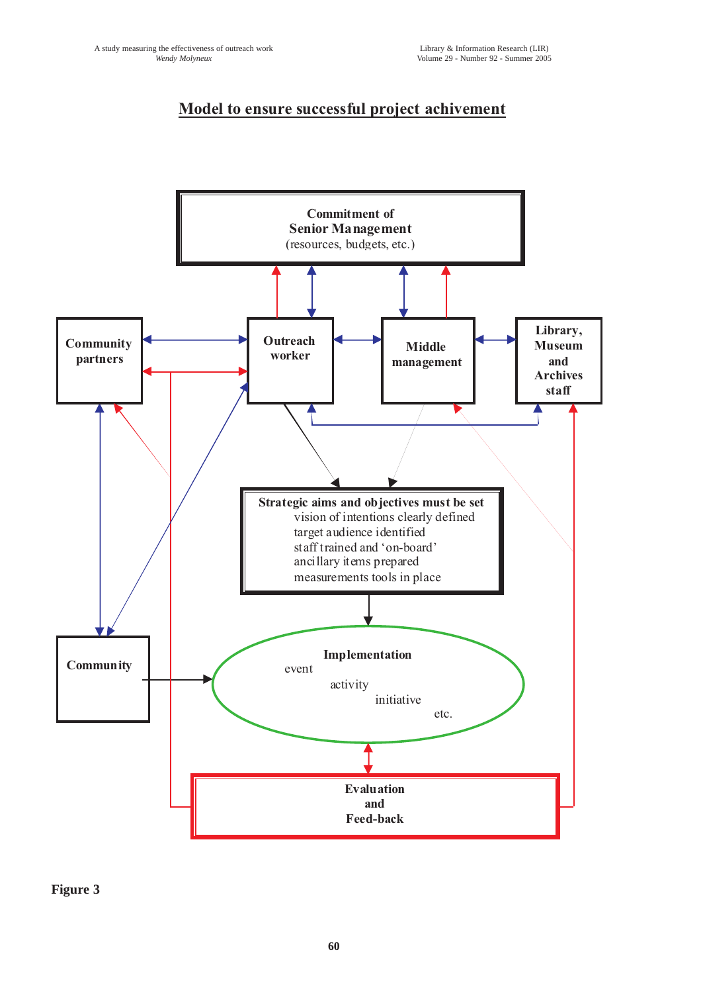## **Model to ensure successful project achivement**



**Figure 3**